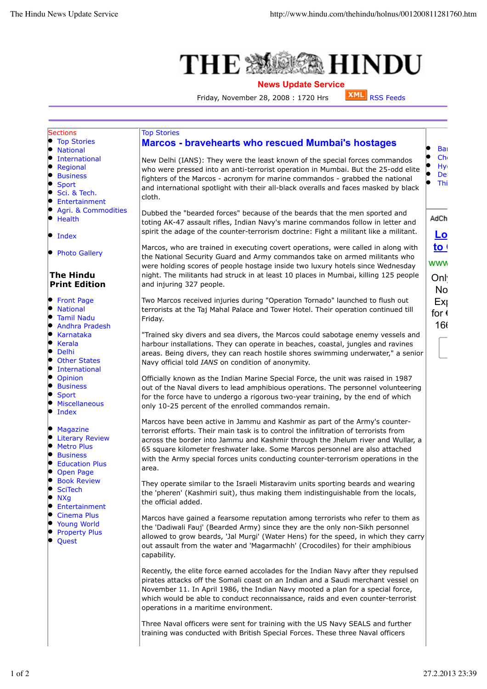## **MEDINIAL HINDU THE 激**

## **News Update Service**<br>28. 2008 : 1720 Hrs **XML** RSS Feeds

Friday, November 28, 2008 : 1720 Hrs

| <b>Marcos - bravehearts who rescued Mumbai's hostages</b><br>Bai<br>Ch <sub>0</sub><br>New Delhi (IANS): They were the least known of the special forces commandos<br>Hy <sub>1</sub><br>who were pressed into an anti-terrorist operation in Mumbai. But the 25-odd elite<br>De<br>fighters of the Marcos - acronym for marine commandos - grabbed the national<br>Thi<br>and international spotlight with their all-black overalls and faces masked by black<br>Sci. & Tech.<br>cloth.<br>Entertainment<br>Agri. & Commodities<br>Dubbed the "bearded forces" because of the beards that the men sported and<br>AdCh<br>toting AK-47 assault rifles, Indian Navy's marine commandos follow in letter and<br>spirit the adage of the counter-terrorism doctrine: Fight a militant like a militant.<br><u>Lo</u><br>to <sub>1</sub><br>Marcos, who are trained in executing covert operations, were called in along with<br><b>Photo Gallery</b><br>the National Security Guard and Army commandos take on armed militants who<br><b>WWW</b><br>were holding scores of people hostage inside two luxury hotels since Wednesday<br>night. The militants had struck in at least 10 places in Mumbai, killing 125 people<br>Onl<br><b>Print Edition</b><br>and injuring 327 people.<br><b>No</b><br>Two Marcos received injuries during "Operation Tornado" launched to flush out<br>Ex<br>terrorists at the Taj Mahal Palace and Tower Hotel. Their operation continued till<br>for $\triangleleft$<br>Friday.<br>160<br>"Trained sky divers and sea divers, the Marcos could sabotage enemy vessels and<br>harbour installations. They can operate in beaches, coastal, jungles and ravines<br>areas. Being divers, they can reach hostile shores swimming underwater," a senior<br>Navy official told IANS on condition of anonymity.<br>Officially known as the Indian Marine Special Force, the unit was raised in 1987<br>out of the Naval divers to lead amphibious operations. The personnel volunteering<br>for the force have to undergo a rigorous two-year training, by the end of which<br>only 10-25 percent of the enrolled commandos remain.<br>Marcos have been active in Jammu and Kashmir as part of the Army's counter-<br>terrorist efforts. Their main task is to control the infiltration of terrorists from<br>across the border into Jammu and Kashmir through the Jhelum river and Wullar, a<br>65 square kilometer freshwater lake. Some Marcos personnel are also attached<br>with the Army special forces units conducting counter-terrorism operations in the<br>area.<br>They operate similar to the Israeli Mistaravim units sporting beards and wearing<br>the 'pheren' (Kashmiri suit), thus making them indistinguishable from the locals,<br>the official added.<br>Marcos have gained a fearsome reputation among terrorists who refer to them as<br>the 'Dadiwali Fauj' (Bearded Army) since they are the only non-Sikh personnel<br><b>Property Plus</b><br>allowed to grow beards, 'Jal Murgi' (Water Hens) for the speed, in which they carry<br>out assault from the water and 'Magarmachh' (Crocodiles) for their amphibious<br>capability.<br>Recently, the elite force earned accolades for the Indian Navy after they repulsed<br>pirates attacks off the Somali coast on an Indian and a Saudi merchant vessel on<br>November 11. In April 1986, the Indian Navy mooted a plan for a special force,<br>which would be able to conduct reconnaissance, raids and even counter-terrorist<br>operations in a maritime environment.<br>Three Naval officers were sent for training with the US Navy SEALS and further | <b>Sections</b>        | <b>Top Stories</b>                                                             |  |
|---------------------------------------------------------------------------------------------------------------------------------------------------------------------------------------------------------------------------------------------------------------------------------------------------------------------------------------------------------------------------------------------------------------------------------------------------------------------------------------------------------------------------------------------------------------------------------------------------------------------------------------------------------------------------------------------------------------------------------------------------------------------------------------------------------------------------------------------------------------------------------------------------------------------------------------------------------------------------------------------------------------------------------------------------------------------------------------------------------------------------------------------------------------------------------------------------------------------------------------------------------------------------------------------------------------------------------------------------------------------------------------------------------------------------------------------------------------------------------------------------------------------------------------------------------------------------------------------------------------------------------------------------------------------------------------------------------------------------------------------------------------------------------------------------------------------------------------------------------------------------------------------------------------------------------------------------------------------------------------------------------------------------------------------------------------------------------------------------------------------------------------------------------------------------------------------------------------------------------------------------------------------------------------------------------------------------------------------------------------------------------------------------------------------------------------------------------------------------------------------------------------------------------------------------------------------------------------------------------------------------------------------------------------------------------------------------------------------------------------------------------------------------------------------------------------------------------------------------------------------------------------------------------------------------------------------------------------------------------------------------------------------------------------------------------------------------------------------------------------------------------------------------------------------------------------------------------------------------------------------------------------------------------------------------------------------------------------------------------------------------------------------------------------------------------------------------------------------------------------------------------------------------------------------------------------------------------------------------------------------------------------------------------------|------------------------|--------------------------------------------------------------------------------|--|
|                                                                                                                                                                                                                                                                                                                                                                                                                                                                                                                                                                                                                                                                                                                                                                                                                                                                                                                                                                                                                                                                                                                                                                                                                                                                                                                                                                                                                                                                                                                                                                                                                                                                                                                                                                                                                                                                                                                                                                                                                                                                                                                                                                                                                                                                                                                                                                                                                                                                                                                                                                                                                                                                                                                                                                                                                                                                                                                                                                                                                                                                                                                                                                                                                                                                                                                                                                                                                                                                                                                                                                                                                                                               | <b>Top Stories</b>     |                                                                                |  |
|                                                                                                                                                                                                                                                                                                                                                                                                                                                                                                                                                                                                                                                                                                                                                                                                                                                                                                                                                                                                                                                                                                                                                                                                                                                                                                                                                                                                                                                                                                                                                                                                                                                                                                                                                                                                                                                                                                                                                                                                                                                                                                                                                                                                                                                                                                                                                                                                                                                                                                                                                                                                                                                                                                                                                                                                                                                                                                                                                                                                                                                                                                                                                                                                                                                                                                                                                                                                                                                                                                                                                                                                                                                               | <b>National</b>        |                                                                                |  |
|                                                                                                                                                                                                                                                                                                                                                                                                                                                                                                                                                                                                                                                                                                                                                                                                                                                                                                                                                                                                                                                                                                                                                                                                                                                                                                                                                                                                                                                                                                                                                                                                                                                                                                                                                                                                                                                                                                                                                                                                                                                                                                                                                                                                                                                                                                                                                                                                                                                                                                                                                                                                                                                                                                                                                                                                                                                                                                                                                                                                                                                                                                                                                                                                                                                                                                                                                                                                                                                                                                                                                                                                                                                               | International          |                                                                                |  |
|                                                                                                                                                                                                                                                                                                                                                                                                                                                                                                                                                                                                                                                                                                                                                                                                                                                                                                                                                                                                                                                                                                                                                                                                                                                                                                                                                                                                                                                                                                                                                                                                                                                                                                                                                                                                                                                                                                                                                                                                                                                                                                                                                                                                                                                                                                                                                                                                                                                                                                                                                                                                                                                                                                                                                                                                                                                                                                                                                                                                                                                                                                                                                                                                                                                                                                                                                                                                                                                                                                                                                                                                                                                               | Regional               |                                                                                |  |
|                                                                                                                                                                                                                                                                                                                                                                                                                                                                                                                                                                                                                                                                                                                                                                                                                                                                                                                                                                                                                                                                                                                                                                                                                                                                                                                                                                                                                                                                                                                                                                                                                                                                                                                                                                                                                                                                                                                                                                                                                                                                                                                                                                                                                                                                                                                                                                                                                                                                                                                                                                                                                                                                                                                                                                                                                                                                                                                                                                                                                                                                                                                                                                                                                                                                                                                                                                                                                                                                                                                                                                                                                                                               | <b>Business</b>        |                                                                                |  |
|                                                                                                                                                                                                                                                                                                                                                                                                                                                                                                                                                                                                                                                                                                                                                                                                                                                                                                                                                                                                                                                                                                                                                                                                                                                                                                                                                                                                                                                                                                                                                                                                                                                                                                                                                                                                                                                                                                                                                                                                                                                                                                                                                                                                                                                                                                                                                                                                                                                                                                                                                                                                                                                                                                                                                                                                                                                                                                                                                                                                                                                                                                                                                                                                                                                                                                                                                                                                                                                                                                                                                                                                                                                               | <b>Sport</b>           |                                                                                |  |
|                                                                                                                                                                                                                                                                                                                                                                                                                                                                                                                                                                                                                                                                                                                                                                                                                                                                                                                                                                                                                                                                                                                                                                                                                                                                                                                                                                                                                                                                                                                                                                                                                                                                                                                                                                                                                                                                                                                                                                                                                                                                                                                                                                                                                                                                                                                                                                                                                                                                                                                                                                                                                                                                                                                                                                                                                                                                                                                                                                                                                                                                                                                                                                                                                                                                                                                                                                                                                                                                                                                                                                                                                                                               |                        |                                                                                |  |
|                                                                                                                                                                                                                                                                                                                                                                                                                                                                                                                                                                                                                                                                                                                                                                                                                                                                                                                                                                                                                                                                                                                                                                                                                                                                                                                                                                                                                                                                                                                                                                                                                                                                                                                                                                                                                                                                                                                                                                                                                                                                                                                                                                                                                                                                                                                                                                                                                                                                                                                                                                                                                                                                                                                                                                                                                                                                                                                                                                                                                                                                                                                                                                                                                                                                                                                                                                                                                                                                                                                                                                                                                                                               |                        |                                                                                |  |
|                                                                                                                                                                                                                                                                                                                                                                                                                                                                                                                                                                                                                                                                                                                                                                                                                                                                                                                                                                                                                                                                                                                                                                                                                                                                                                                                                                                                                                                                                                                                                                                                                                                                                                                                                                                                                                                                                                                                                                                                                                                                                                                                                                                                                                                                                                                                                                                                                                                                                                                                                                                                                                                                                                                                                                                                                                                                                                                                                                                                                                                                                                                                                                                                                                                                                                                                                                                                                                                                                                                                                                                                                                                               |                        |                                                                                |  |
|                                                                                                                                                                                                                                                                                                                                                                                                                                                                                                                                                                                                                                                                                                                                                                                                                                                                                                                                                                                                                                                                                                                                                                                                                                                                                                                                                                                                                                                                                                                                                                                                                                                                                                                                                                                                                                                                                                                                                                                                                                                                                                                                                                                                                                                                                                                                                                                                                                                                                                                                                                                                                                                                                                                                                                                                                                                                                                                                                                                                                                                                                                                                                                                                                                                                                                                                                                                                                                                                                                                                                                                                                                                               | Health                 |                                                                                |  |
|                                                                                                                                                                                                                                                                                                                                                                                                                                                                                                                                                                                                                                                                                                                                                                                                                                                                                                                                                                                                                                                                                                                                                                                                                                                                                                                                                                                                                                                                                                                                                                                                                                                                                                                                                                                                                                                                                                                                                                                                                                                                                                                                                                                                                                                                                                                                                                                                                                                                                                                                                                                                                                                                                                                                                                                                                                                                                                                                                                                                                                                                                                                                                                                                                                                                                                                                                                                                                                                                                                                                                                                                                                                               |                        |                                                                                |  |
|                                                                                                                                                                                                                                                                                                                                                                                                                                                                                                                                                                                                                                                                                                                                                                                                                                                                                                                                                                                                                                                                                                                                                                                                                                                                                                                                                                                                                                                                                                                                                                                                                                                                                                                                                                                                                                                                                                                                                                                                                                                                                                                                                                                                                                                                                                                                                                                                                                                                                                                                                                                                                                                                                                                                                                                                                                                                                                                                                                                                                                                                                                                                                                                                                                                                                                                                                                                                                                                                                                                                                                                                                                                               | Index                  |                                                                                |  |
|                                                                                                                                                                                                                                                                                                                                                                                                                                                                                                                                                                                                                                                                                                                                                                                                                                                                                                                                                                                                                                                                                                                                                                                                                                                                                                                                                                                                                                                                                                                                                                                                                                                                                                                                                                                                                                                                                                                                                                                                                                                                                                                                                                                                                                                                                                                                                                                                                                                                                                                                                                                                                                                                                                                                                                                                                                                                                                                                                                                                                                                                                                                                                                                                                                                                                                                                                                                                                                                                                                                                                                                                                                                               |                        |                                                                                |  |
|                                                                                                                                                                                                                                                                                                                                                                                                                                                                                                                                                                                                                                                                                                                                                                                                                                                                                                                                                                                                                                                                                                                                                                                                                                                                                                                                                                                                                                                                                                                                                                                                                                                                                                                                                                                                                                                                                                                                                                                                                                                                                                                                                                                                                                                                                                                                                                                                                                                                                                                                                                                                                                                                                                                                                                                                                                                                                                                                                                                                                                                                                                                                                                                                                                                                                                                                                                                                                                                                                                                                                                                                                                                               |                        |                                                                                |  |
|                                                                                                                                                                                                                                                                                                                                                                                                                                                                                                                                                                                                                                                                                                                                                                                                                                                                                                                                                                                                                                                                                                                                                                                                                                                                                                                                                                                                                                                                                                                                                                                                                                                                                                                                                                                                                                                                                                                                                                                                                                                                                                                                                                                                                                                                                                                                                                                                                                                                                                                                                                                                                                                                                                                                                                                                                                                                                                                                                                                                                                                                                                                                                                                                                                                                                                                                                                                                                                                                                                                                                                                                                                                               |                        |                                                                                |  |
|                                                                                                                                                                                                                                                                                                                                                                                                                                                                                                                                                                                                                                                                                                                                                                                                                                                                                                                                                                                                                                                                                                                                                                                                                                                                                                                                                                                                                                                                                                                                                                                                                                                                                                                                                                                                                                                                                                                                                                                                                                                                                                                                                                                                                                                                                                                                                                                                                                                                                                                                                                                                                                                                                                                                                                                                                                                                                                                                                                                                                                                                                                                                                                                                                                                                                                                                                                                                                                                                                                                                                                                                                                                               | <b>The Hindu</b>       |                                                                                |  |
|                                                                                                                                                                                                                                                                                                                                                                                                                                                                                                                                                                                                                                                                                                                                                                                                                                                                                                                                                                                                                                                                                                                                                                                                                                                                                                                                                                                                                                                                                                                                                                                                                                                                                                                                                                                                                                                                                                                                                                                                                                                                                                                                                                                                                                                                                                                                                                                                                                                                                                                                                                                                                                                                                                                                                                                                                                                                                                                                                                                                                                                                                                                                                                                                                                                                                                                                                                                                                                                                                                                                                                                                                                                               |                        |                                                                                |  |
|                                                                                                                                                                                                                                                                                                                                                                                                                                                                                                                                                                                                                                                                                                                                                                                                                                                                                                                                                                                                                                                                                                                                                                                                                                                                                                                                                                                                                                                                                                                                                                                                                                                                                                                                                                                                                                                                                                                                                                                                                                                                                                                                                                                                                                                                                                                                                                                                                                                                                                                                                                                                                                                                                                                                                                                                                                                                                                                                                                                                                                                                                                                                                                                                                                                                                                                                                                                                                                                                                                                                                                                                                                                               |                        |                                                                                |  |
|                                                                                                                                                                                                                                                                                                                                                                                                                                                                                                                                                                                                                                                                                                                                                                                                                                                                                                                                                                                                                                                                                                                                                                                                                                                                                                                                                                                                                                                                                                                                                                                                                                                                                                                                                                                                                                                                                                                                                                                                                                                                                                                                                                                                                                                                                                                                                                                                                                                                                                                                                                                                                                                                                                                                                                                                                                                                                                                                                                                                                                                                                                                                                                                                                                                                                                                                                                                                                                                                                                                                                                                                                                                               | <b>Front Page</b>      |                                                                                |  |
|                                                                                                                                                                                                                                                                                                                                                                                                                                                                                                                                                                                                                                                                                                                                                                                                                                                                                                                                                                                                                                                                                                                                                                                                                                                                                                                                                                                                                                                                                                                                                                                                                                                                                                                                                                                                                                                                                                                                                                                                                                                                                                                                                                                                                                                                                                                                                                                                                                                                                                                                                                                                                                                                                                                                                                                                                                                                                                                                                                                                                                                                                                                                                                                                                                                                                                                                                                                                                                                                                                                                                                                                                                                               | <b>National</b>        |                                                                                |  |
|                                                                                                                                                                                                                                                                                                                                                                                                                                                                                                                                                                                                                                                                                                                                                                                                                                                                                                                                                                                                                                                                                                                                                                                                                                                                                                                                                                                                                                                                                                                                                                                                                                                                                                                                                                                                                                                                                                                                                                                                                                                                                                                                                                                                                                                                                                                                                                                                                                                                                                                                                                                                                                                                                                                                                                                                                                                                                                                                                                                                                                                                                                                                                                                                                                                                                                                                                                                                                                                                                                                                                                                                                                                               | <b>Tamil Nadu</b>      |                                                                                |  |
|                                                                                                                                                                                                                                                                                                                                                                                                                                                                                                                                                                                                                                                                                                                                                                                                                                                                                                                                                                                                                                                                                                                                                                                                                                                                                                                                                                                                                                                                                                                                                                                                                                                                                                                                                                                                                                                                                                                                                                                                                                                                                                                                                                                                                                                                                                                                                                                                                                                                                                                                                                                                                                                                                                                                                                                                                                                                                                                                                                                                                                                                                                                                                                                                                                                                                                                                                                                                                                                                                                                                                                                                                                                               | <b>Andhra Pradesh</b>  |                                                                                |  |
|                                                                                                                                                                                                                                                                                                                                                                                                                                                                                                                                                                                                                                                                                                                                                                                                                                                                                                                                                                                                                                                                                                                                                                                                                                                                                                                                                                                                                                                                                                                                                                                                                                                                                                                                                                                                                                                                                                                                                                                                                                                                                                                                                                                                                                                                                                                                                                                                                                                                                                                                                                                                                                                                                                                                                                                                                                                                                                                                                                                                                                                                                                                                                                                                                                                                                                                                                                                                                                                                                                                                                                                                                                                               | Karnataka              |                                                                                |  |
|                                                                                                                                                                                                                                                                                                                                                                                                                                                                                                                                                                                                                                                                                                                                                                                                                                                                                                                                                                                                                                                                                                                                                                                                                                                                                                                                                                                                                                                                                                                                                                                                                                                                                                                                                                                                                                                                                                                                                                                                                                                                                                                                                                                                                                                                                                                                                                                                                                                                                                                                                                                                                                                                                                                                                                                                                                                                                                                                                                                                                                                                                                                                                                                                                                                                                                                                                                                                                                                                                                                                                                                                                                                               | Kerala                 |                                                                                |  |
|                                                                                                                                                                                                                                                                                                                                                                                                                                                                                                                                                                                                                                                                                                                                                                                                                                                                                                                                                                                                                                                                                                                                                                                                                                                                                                                                                                                                                                                                                                                                                                                                                                                                                                                                                                                                                                                                                                                                                                                                                                                                                                                                                                                                                                                                                                                                                                                                                                                                                                                                                                                                                                                                                                                                                                                                                                                                                                                                                                                                                                                                                                                                                                                                                                                                                                                                                                                                                                                                                                                                                                                                                                                               | Delhi                  |                                                                                |  |
|                                                                                                                                                                                                                                                                                                                                                                                                                                                                                                                                                                                                                                                                                                                                                                                                                                                                                                                                                                                                                                                                                                                                                                                                                                                                                                                                                                                                                                                                                                                                                                                                                                                                                                                                                                                                                                                                                                                                                                                                                                                                                                                                                                                                                                                                                                                                                                                                                                                                                                                                                                                                                                                                                                                                                                                                                                                                                                                                                                                                                                                                                                                                                                                                                                                                                                                                                                                                                                                                                                                                                                                                                                                               | <b>Other States</b>    |                                                                                |  |
|                                                                                                                                                                                                                                                                                                                                                                                                                                                                                                                                                                                                                                                                                                                                                                                                                                                                                                                                                                                                                                                                                                                                                                                                                                                                                                                                                                                                                                                                                                                                                                                                                                                                                                                                                                                                                                                                                                                                                                                                                                                                                                                                                                                                                                                                                                                                                                                                                                                                                                                                                                                                                                                                                                                                                                                                                                                                                                                                                                                                                                                                                                                                                                                                                                                                                                                                                                                                                                                                                                                                                                                                                                                               | International          |                                                                                |  |
|                                                                                                                                                                                                                                                                                                                                                                                                                                                                                                                                                                                                                                                                                                                                                                                                                                                                                                                                                                                                                                                                                                                                                                                                                                                                                                                                                                                                                                                                                                                                                                                                                                                                                                                                                                                                                                                                                                                                                                                                                                                                                                                                                                                                                                                                                                                                                                                                                                                                                                                                                                                                                                                                                                                                                                                                                                                                                                                                                                                                                                                                                                                                                                                                                                                                                                                                                                                                                                                                                                                                                                                                                                                               | Opinion                |                                                                                |  |
|                                                                                                                                                                                                                                                                                                                                                                                                                                                                                                                                                                                                                                                                                                                                                                                                                                                                                                                                                                                                                                                                                                                                                                                                                                                                                                                                                                                                                                                                                                                                                                                                                                                                                                                                                                                                                                                                                                                                                                                                                                                                                                                                                                                                                                                                                                                                                                                                                                                                                                                                                                                                                                                                                                                                                                                                                                                                                                                                                                                                                                                                                                                                                                                                                                                                                                                                                                                                                                                                                                                                                                                                                                                               | <b>Business</b>        |                                                                                |  |
|                                                                                                                                                                                                                                                                                                                                                                                                                                                                                                                                                                                                                                                                                                                                                                                                                                                                                                                                                                                                                                                                                                                                                                                                                                                                                                                                                                                                                                                                                                                                                                                                                                                                                                                                                                                                                                                                                                                                                                                                                                                                                                                                                                                                                                                                                                                                                                                                                                                                                                                                                                                                                                                                                                                                                                                                                                                                                                                                                                                                                                                                                                                                                                                                                                                                                                                                                                                                                                                                                                                                                                                                                                                               | Sport                  |                                                                                |  |
|                                                                                                                                                                                                                                                                                                                                                                                                                                                                                                                                                                                                                                                                                                                                                                                                                                                                                                                                                                                                                                                                                                                                                                                                                                                                                                                                                                                                                                                                                                                                                                                                                                                                                                                                                                                                                                                                                                                                                                                                                                                                                                                                                                                                                                                                                                                                                                                                                                                                                                                                                                                                                                                                                                                                                                                                                                                                                                                                                                                                                                                                                                                                                                                                                                                                                                                                                                                                                                                                                                                                                                                                                                                               | <b>Miscellaneous</b>   |                                                                                |  |
|                                                                                                                                                                                                                                                                                                                                                                                                                                                                                                                                                                                                                                                                                                                                                                                                                                                                                                                                                                                                                                                                                                                                                                                                                                                                                                                                                                                                                                                                                                                                                                                                                                                                                                                                                                                                                                                                                                                                                                                                                                                                                                                                                                                                                                                                                                                                                                                                                                                                                                                                                                                                                                                                                                                                                                                                                                                                                                                                                                                                                                                                                                                                                                                                                                                                                                                                                                                                                                                                                                                                                                                                                                                               | Index                  |                                                                                |  |
|                                                                                                                                                                                                                                                                                                                                                                                                                                                                                                                                                                                                                                                                                                                                                                                                                                                                                                                                                                                                                                                                                                                                                                                                                                                                                                                                                                                                                                                                                                                                                                                                                                                                                                                                                                                                                                                                                                                                                                                                                                                                                                                                                                                                                                                                                                                                                                                                                                                                                                                                                                                                                                                                                                                                                                                                                                                                                                                                                                                                                                                                                                                                                                                                                                                                                                                                                                                                                                                                                                                                                                                                                                                               |                        |                                                                                |  |
|                                                                                                                                                                                                                                                                                                                                                                                                                                                                                                                                                                                                                                                                                                                                                                                                                                                                                                                                                                                                                                                                                                                                                                                                                                                                                                                                                                                                                                                                                                                                                                                                                                                                                                                                                                                                                                                                                                                                                                                                                                                                                                                                                                                                                                                                                                                                                                                                                                                                                                                                                                                                                                                                                                                                                                                                                                                                                                                                                                                                                                                                                                                                                                                                                                                                                                                                                                                                                                                                                                                                                                                                                                                               | <b>Magazine</b>        |                                                                                |  |
|                                                                                                                                                                                                                                                                                                                                                                                                                                                                                                                                                                                                                                                                                                                                                                                                                                                                                                                                                                                                                                                                                                                                                                                                                                                                                                                                                                                                                                                                                                                                                                                                                                                                                                                                                                                                                                                                                                                                                                                                                                                                                                                                                                                                                                                                                                                                                                                                                                                                                                                                                                                                                                                                                                                                                                                                                                                                                                                                                                                                                                                                                                                                                                                                                                                                                                                                                                                                                                                                                                                                                                                                                                                               | <b>Literary Review</b> |                                                                                |  |
|                                                                                                                                                                                                                                                                                                                                                                                                                                                                                                                                                                                                                                                                                                                                                                                                                                                                                                                                                                                                                                                                                                                                                                                                                                                                                                                                                                                                                                                                                                                                                                                                                                                                                                                                                                                                                                                                                                                                                                                                                                                                                                                                                                                                                                                                                                                                                                                                                                                                                                                                                                                                                                                                                                                                                                                                                                                                                                                                                                                                                                                                                                                                                                                                                                                                                                                                                                                                                                                                                                                                                                                                                                                               | <b>Metro Plus</b>      |                                                                                |  |
|                                                                                                                                                                                                                                                                                                                                                                                                                                                                                                                                                                                                                                                                                                                                                                                                                                                                                                                                                                                                                                                                                                                                                                                                                                                                                                                                                                                                                                                                                                                                                                                                                                                                                                                                                                                                                                                                                                                                                                                                                                                                                                                                                                                                                                                                                                                                                                                                                                                                                                                                                                                                                                                                                                                                                                                                                                                                                                                                                                                                                                                                                                                                                                                                                                                                                                                                                                                                                                                                                                                                                                                                                                                               | <b>Business</b>        |                                                                                |  |
|                                                                                                                                                                                                                                                                                                                                                                                                                                                                                                                                                                                                                                                                                                                                                                                                                                                                                                                                                                                                                                                                                                                                                                                                                                                                                                                                                                                                                                                                                                                                                                                                                                                                                                                                                                                                                                                                                                                                                                                                                                                                                                                                                                                                                                                                                                                                                                                                                                                                                                                                                                                                                                                                                                                                                                                                                                                                                                                                                                                                                                                                                                                                                                                                                                                                                                                                                                                                                                                                                                                                                                                                                                                               | <b>Education Plus</b>  |                                                                                |  |
|                                                                                                                                                                                                                                                                                                                                                                                                                                                                                                                                                                                                                                                                                                                                                                                                                                                                                                                                                                                                                                                                                                                                                                                                                                                                                                                                                                                                                                                                                                                                                                                                                                                                                                                                                                                                                                                                                                                                                                                                                                                                                                                                                                                                                                                                                                                                                                                                                                                                                                                                                                                                                                                                                                                                                                                                                                                                                                                                                                                                                                                                                                                                                                                                                                                                                                                                                                                                                                                                                                                                                                                                                                                               | <b>Open Page</b>       |                                                                                |  |
|                                                                                                                                                                                                                                                                                                                                                                                                                                                                                                                                                                                                                                                                                                                                                                                                                                                                                                                                                                                                                                                                                                                                                                                                                                                                                                                                                                                                                                                                                                                                                                                                                                                                                                                                                                                                                                                                                                                                                                                                                                                                                                                                                                                                                                                                                                                                                                                                                                                                                                                                                                                                                                                                                                                                                                                                                                                                                                                                                                                                                                                                                                                                                                                                                                                                                                                                                                                                                                                                                                                                                                                                                                                               | <b>Book Review</b>     |                                                                                |  |
|                                                                                                                                                                                                                                                                                                                                                                                                                                                                                                                                                                                                                                                                                                                                                                                                                                                                                                                                                                                                                                                                                                                                                                                                                                                                                                                                                                                                                                                                                                                                                                                                                                                                                                                                                                                                                                                                                                                                                                                                                                                                                                                                                                                                                                                                                                                                                                                                                                                                                                                                                                                                                                                                                                                                                                                                                                                                                                                                                                                                                                                                                                                                                                                                                                                                                                                                                                                                                                                                                                                                                                                                                                                               | <b>SciTech</b>         |                                                                                |  |
|                                                                                                                                                                                                                                                                                                                                                                                                                                                                                                                                                                                                                                                                                                                                                                                                                                                                                                                                                                                                                                                                                                                                                                                                                                                                                                                                                                                                                                                                                                                                                                                                                                                                                                                                                                                                                                                                                                                                                                                                                                                                                                                                                                                                                                                                                                                                                                                                                                                                                                                                                                                                                                                                                                                                                                                                                                                                                                                                                                                                                                                                                                                                                                                                                                                                                                                                                                                                                                                                                                                                                                                                                                                               | <b>NXg</b>             |                                                                                |  |
|                                                                                                                                                                                                                                                                                                                                                                                                                                                                                                                                                                                                                                                                                                                                                                                                                                                                                                                                                                                                                                                                                                                                                                                                                                                                                                                                                                                                                                                                                                                                                                                                                                                                                                                                                                                                                                                                                                                                                                                                                                                                                                                                                                                                                                                                                                                                                                                                                                                                                                                                                                                                                                                                                                                                                                                                                                                                                                                                                                                                                                                                                                                                                                                                                                                                                                                                                                                                                                                                                                                                                                                                                                                               | Entertainment          |                                                                                |  |
|                                                                                                                                                                                                                                                                                                                                                                                                                                                                                                                                                                                                                                                                                                                                                                                                                                                                                                                                                                                                                                                                                                                                                                                                                                                                                                                                                                                                                                                                                                                                                                                                                                                                                                                                                                                                                                                                                                                                                                                                                                                                                                                                                                                                                                                                                                                                                                                                                                                                                                                                                                                                                                                                                                                                                                                                                                                                                                                                                                                                                                                                                                                                                                                                                                                                                                                                                                                                                                                                                                                                                                                                                                                               | <b>Cinema Plus</b>     |                                                                                |  |
|                                                                                                                                                                                                                                                                                                                                                                                                                                                                                                                                                                                                                                                                                                                                                                                                                                                                                                                                                                                                                                                                                                                                                                                                                                                                                                                                                                                                                                                                                                                                                                                                                                                                                                                                                                                                                                                                                                                                                                                                                                                                                                                                                                                                                                                                                                                                                                                                                                                                                                                                                                                                                                                                                                                                                                                                                                                                                                                                                                                                                                                                                                                                                                                                                                                                                                                                                                                                                                                                                                                                                                                                                                                               | <b>Young World</b>     |                                                                                |  |
|                                                                                                                                                                                                                                                                                                                                                                                                                                                                                                                                                                                                                                                                                                                                                                                                                                                                                                                                                                                                                                                                                                                                                                                                                                                                                                                                                                                                                                                                                                                                                                                                                                                                                                                                                                                                                                                                                                                                                                                                                                                                                                                                                                                                                                                                                                                                                                                                                                                                                                                                                                                                                                                                                                                                                                                                                                                                                                                                                                                                                                                                                                                                                                                                                                                                                                                                                                                                                                                                                                                                                                                                                                                               |                        |                                                                                |  |
|                                                                                                                                                                                                                                                                                                                                                                                                                                                                                                                                                                                                                                                                                                                                                                                                                                                                                                                                                                                                                                                                                                                                                                                                                                                                                                                                                                                                                                                                                                                                                                                                                                                                                                                                                                                                                                                                                                                                                                                                                                                                                                                                                                                                                                                                                                                                                                                                                                                                                                                                                                                                                                                                                                                                                                                                                                                                                                                                                                                                                                                                                                                                                                                                                                                                                                                                                                                                                                                                                                                                                                                                                                                               | Quest                  |                                                                                |  |
|                                                                                                                                                                                                                                                                                                                                                                                                                                                                                                                                                                                                                                                                                                                                                                                                                                                                                                                                                                                                                                                                                                                                                                                                                                                                                                                                                                                                                                                                                                                                                                                                                                                                                                                                                                                                                                                                                                                                                                                                                                                                                                                                                                                                                                                                                                                                                                                                                                                                                                                                                                                                                                                                                                                                                                                                                                                                                                                                                                                                                                                                                                                                                                                                                                                                                                                                                                                                                                                                                                                                                                                                                                                               |                        |                                                                                |  |
|                                                                                                                                                                                                                                                                                                                                                                                                                                                                                                                                                                                                                                                                                                                                                                                                                                                                                                                                                                                                                                                                                                                                                                                                                                                                                                                                                                                                                                                                                                                                                                                                                                                                                                                                                                                                                                                                                                                                                                                                                                                                                                                                                                                                                                                                                                                                                                                                                                                                                                                                                                                                                                                                                                                                                                                                                                                                                                                                                                                                                                                                                                                                                                                                                                                                                                                                                                                                                                                                                                                                                                                                                                                               |                        |                                                                                |  |
|                                                                                                                                                                                                                                                                                                                                                                                                                                                                                                                                                                                                                                                                                                                                                                                                                                                                                                                                                                                                                                                                                                                                                                                                                                                                                                                                                                                                                                                                                                                                                                                                                                                                                                                                                                                                                                                                                                                                                                                                                                                                                                                                                                                                                                                                                                                                                                                                                                                                                                                                                                                                                                                                                                                                                                                                                                                                                                                                                                                                                                                                                                                                                                                                                                                                                                                                                                                                                                                                                                                                                                                                                                                               |                        |                                                                                |  |
|                                                                                                                                                                                                                                                                                                                                                                                                                                                                                                                                                                                                                                                                                                                                                                                                                                                                                                                                                                                                                                                                                                                                                                                                                                                                                                                                                                                                                                                                                                                                                                                                                                                                                                                                                                                                                                                                                                                                                                                                                                                                                                                                                                                                                                                                                                                                                                                                                                                                                                                                                                                                                                                                                                                                                                                                                                                                                                                                                                                                                                                                                                                                                                                                                                                                                                                                                                                                                                                                                                                                                                                                                                                               |                        |                                                                                |  |
|                                                                                                                                                                                                                                                                                                                                                                                                                                                                                                                                                                                                                                                                                                                                                                                                                                                                                                                                                                                                                                                                                                                                                                                                                                                                                                                                                                                                                                                                                                                                                                                                                                                                                                                                                                                                                                                                                                                                                                                                                                                                                                                                                                                                                                                                                                                                                                                                                                                                                                                                                                                                                                                                                                                                                                                                                                                                                                                                                                                                                                                                                                                                                                                                                                                                                                                                                                                                                                                                                                                                                                                                                                                               |                        |                                                                                |  |
|                                                                                                                                                                                                                                                                                                                                                                                                                                                                                                                                                                                                                                                                                                                                                                                                                                                                                                                                                                                                                                                                                                                                                                                                                                                                                                                                                                                                                                                                                                                                                                                                                                                                                                                                                                                                                                                                                                                                                                                                                                                                                                                                                                                                                                                                                                                                                                                                                                                                                                                                                                                                                                                                                                                                                                                                                                                                                                                                                                                                                                                                                                                                                                                                                                                                                                                                                                                                                                                                                                                                                                                                                                                               |                        |                                                                                |  |
|                                                                                                                                                                                                                                                                                                                                                                                                                                                                                                                                                                                                                                                                                                                                                                                                                                                                                                                                                                                                                                                                                                                                                                                                                                                                                                                                                                                                                                                                                                                                                                                                                                                                                                                                                                                                                                                                                                                                                                                                                                                                                                                                                                                                                                                                                                                                                                                                                                                                                                                                                                                                                                                                                                                                                                                                                                                                                                                                                                                                                                                                                                                                                                                                                                                                                                                                                                                                                                                                                                                                                                                                                                                               |                        |                                                                                |  |
|                                                                                                                                                                                                                                                                                                                                                                                                                                                                                                                                                                                                                                                                                                                                                                                                                                                                                                                                                                                                                                                                                                                                                                                                                                                                                                                                                                                                                                                                                                                                                                                                                                                                                                                                                                                                                                                                                                                                                                                                                                                                                                                                                                                                                                                                                                                                                                                                                                                                                                                                                                                                                                                                                                                                                                                                                                                                                                                                                                                                                                                                                                                                                                                                                                                                                                                                                                                                                                                                                                                                                                                                                                                               |                        |                                                                                |  |
|                                                                                                                                                                                                                                                                                                                                                                                                                                                                                                                                                                                                                                                                                                                                                                                                                                                                                                                                                                                                                                                                                                                                                                                                                                                                                                                                                                                                                                                                                                                                                                                                                                                                                                                                                                                                                                                                                                                                                                                                                                                                                                                                                                                                                                                                                                                                                                                                                                                                                                                                                                                                                                                                                                                                                                                                                                                                                                                                                                                                                                                                                                                                                                                                                                                                                                                                                                                                                                                                                                                                                                                                                                                               |                        |                                                                                |  |
|                                                                                                                                                                                                                                                                                                                                                                                                                                                                                                                                                                                                                                                                                                                                                                                                                                                                                                                                                                                                                                                                                                                                                                                                                                                                                                                                                                                                                                                                                                                                                                                                                                                                                                                                                                                                                                                                                                                                                                                                                                                                                                                                                                                                                                                                                                                                                                                                                                                                                                                                                                                                                                                                                                                                                                                                                                                                                                                                                                                                                                                                                                                                                                                                                                                                                                                                                                                                                                                                                                                                                                                                                                                               |                        | training was conducted with British Special Forces. These three Naval officers |  |